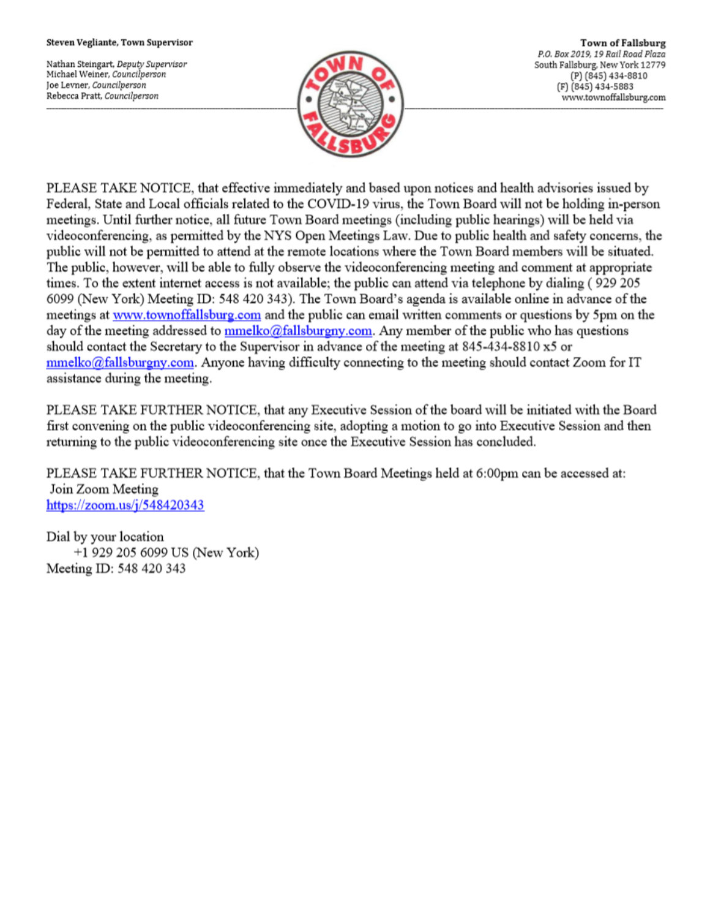#### Steven Vegliante, Town Supervisor

Nathan Steingart, Deputy Supervisor Michael Weiner, Councilperson Joe Levner, Councilperson Rebecca Pratt, Councilperson



**Town of Fallsburg** P.O. Box 2019, 19 Rail Road Plaza South Fallsburg, New York 12779 (P) (845) 434-8810 (F) (845) 434-5883 www.townoffallsburg.com

PLEASE TAKE NOTICE, that effective immediately and based upon notices and health advisories issued by Federal, State and Local officials related to the COVID-19 virus, the Town Board will not be holding in-person meetings. Until further notice, all future Town Board meetings (including public hearings) will be held via videoconferencing, as permitted by the NYS Open Meetings Law. Due to public health and safety concerns, the public will not be permitted to attend at the remote locations where the Town Board members will be situated. The public, however, will be able to fully observe the videoconferencing meeting and comment at appropriate times. To the extent internet access is not available; the public can attend via telephone by dialing (929 205 6099 (New York) Meeting ID: 548 420 343). The Town Board's agenda is available online in advance of the meetings at www.townoffallsburg.com and the public can email written comments or questions by 5pm on the day of the meeting addressed to **mmelko@fallsburgny.com**. Any member of the public who has questions should contact the Secretary to the Supervisor in advance of the meeting at 845-434-8810 x5 or  $mmelko@fallsburgny.com$ . Anyone having difficulty connecting to the meeting should contact Zoom for IT assistance during the meeting.

PLEASE TAKE FURTHER NOTICE, that any Executive Session of the board will be initiated with the Board first convening on the public videoconferencing site, adopting a motion to go into Executive Session and then returning to the public videoconferencing site once the Executive Session has concluded.

PLEASE TAKE FURTHER NOTICE, that the Town Board Meetings held at 6:00pm can be accessed at: Join Zoom Meeting https://zoom.us/j/548420343

Dial by your location +1 929 205 6099 US (New York) Meeting ID: 548 420 343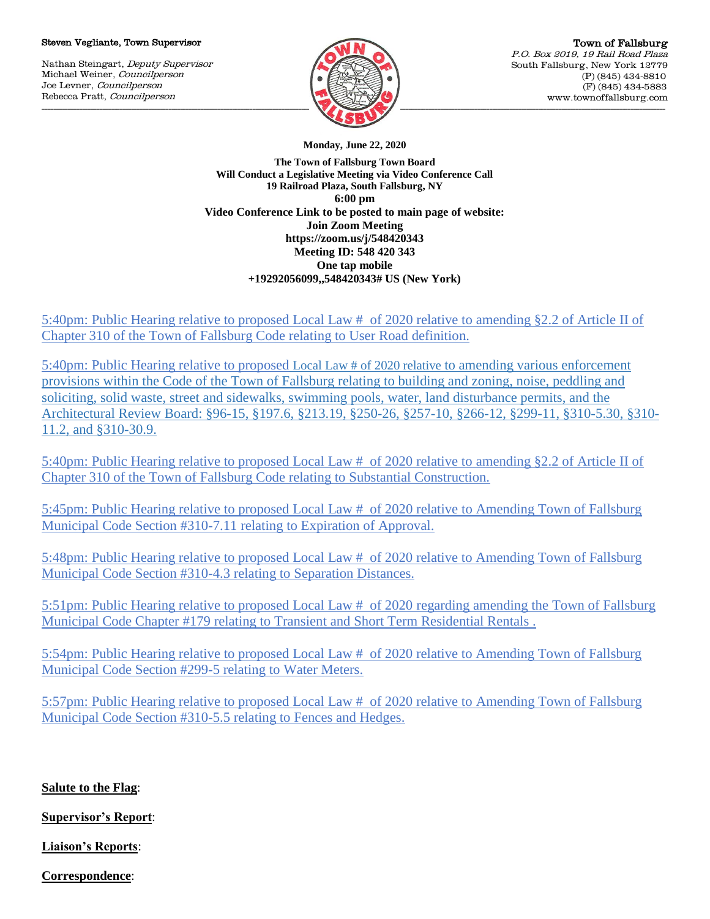### Steven Vegliante, Town Supervisor

Nathan Steingart, Deputy Supervisor Michael Weiner, Councilperson Joe Levner, Councilperson Rebecca Pratt, Councilperson



**Monday, June 22, 2020**

**The Town of Fallsburg Town Board Will Conduct a Legislative Meeting via Video Conference Call 19 Railroad Plaza, South Fallsburg, NY 6:00 pm Video Conference Link to be posted to main page of website: Join Zoom Meeting https://zoom.us/j/548420343 Meeting ID: 548 420 343 One tap mobile +19292056099,,548420343# US (New York)**

5:40pm: Public Hearing relative to proposed Local Law # of 2020 relative to amending §2.2 of Article II of Chapter 310 of the Town of Fallsburg Code relating to User Road definition.

5:40pm: Public Hearing relative to proposed Local Law # of 2020 relative to amending various enforcement provisions within the Code of the Town of Fallsburg relating to building and zoning, noise, peddling and soliciting, solid waste, street and sidewalks, swimming pools, water, land disturbance permits, and the Architectural Review Board: §96-15, §197.6, §213.19, §250-26, §257-10, §266-12, §299-11, §310-5.30, §310- 11.2, and §310-30.9.

5:40pm: Public Hearing relative to proposed Local Law # of 2020 relative to amending §2.2 of Article II of Chapter 310 of the Town of Fallsburg Code relating to Substantial Construction.

5:45pm: Public Hearing relative to proposed Local Law # of 2020 relative to Amending Town of Fallsburg Municipal Code Section #310-7.11 relating to Expiration of Approval.

5:48pm: Public Hearing relative to proposed Local Law # of 2020 relative to Amending Town of Fallsburg Municipal Code Section #310-4.3 relating to Separation Distances.

5:51pm: Public Hearing relative to proposed Local Law # of 2020 regarding amending the Town of Fallsburg Municipal Code Chapter #179 relating to Transient and Short Term Residential Rentals .

5:54pm: Public Hearing relative to proposed Local Law # of 2020 relative to Amending Town of Fallsburg Municipal Code Section #299-5 relating to Water Meters.

5:57pm: Public Hearing relative to proposed Local Law # of 2020 relative to Amending Town of Fallsburg Municipal Code Section #310-5.5 relating to Fences and Hedges.

**Salute to the Flag**:

**Supervisor's Report**:

**Liaison's Reports**:

**Correspondence**: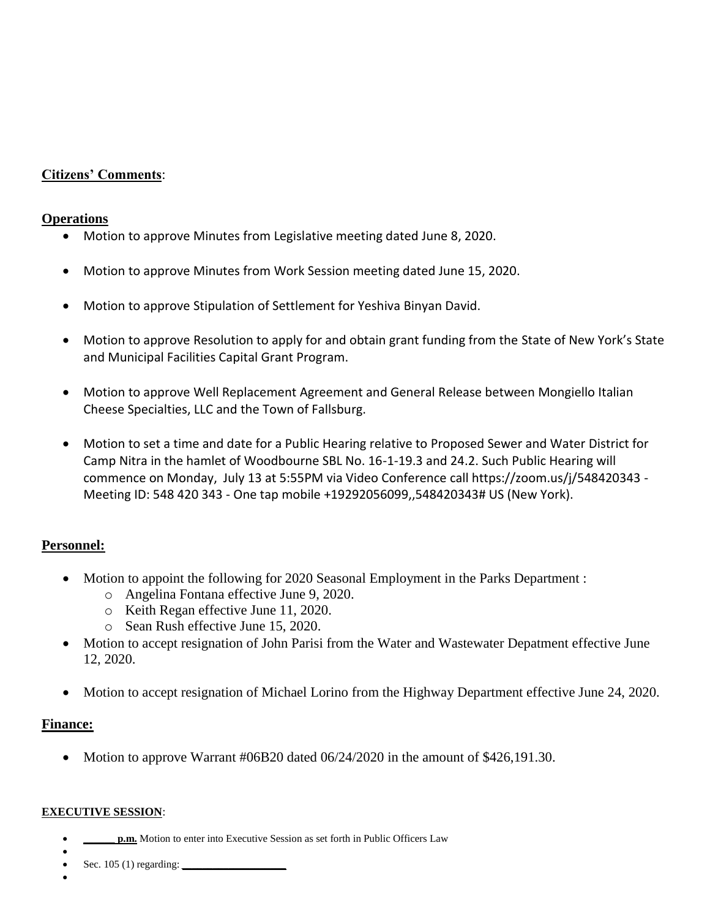# **Citizens' Comments**:

## **Operations**

- Motion to approve Minutes from Legislative meeting dated June 8, 2020.
- Motion to approve Minutes from Work Session meeting dated June 15, 2020.
- Motion to approve Stipulation of Settlement for Yeshiva Binyan David.
- Motion to approve Resolution to apply for and obtain grant funding from the State of New York's State and Municipal Facilities Capital Grant Program.
- Motion to approve Well Replacement Agreement and General Release between Mongiello Italian Cheese Specialties, LLC and the Town of Fallsburg.
- Motion to set a time and date for a Public Hearing relative to Proposed Sewer and Water District for Camp Nitra in the hamlet of Woodbourne SBL No. 16-1-19.3 and 24.2. Such Public Hearing will commence on Monday, July 13 at 5:55PM via Video Conference call https://zoom.us/j/548420343 - Meeting ID: 548 420 343 - One tap mobile +19292056099,,548420343# US (New York).

## **Personnel:**

- Motion to appoint the following for 2020 Seasonal Employment in the Parks Department :
	- o Angelina Fontana effective June 9, 2020.
	- o Keith Regan effective June 11, 2020.
	- o Sean Rush effective June 15, 2020.
- Motion to accept resignation of John Parisi from the Water and Wastewater Depatment effective June 12, 2020.
- Motion to accept resignation of Michael Lorino from the Highway Department effective June 24, 2020.

## **Finance:**

• Motion to approve Warrant #06B20 dated  $06/24/2020$  in the amount of \$426,191.30.

### **EXECUTIVE SESSION**:

- **p.m.** Motion to enter into Executive Session as set forth in Public Officers Law
- $\bullet$ Sec. 105 (1) regarding: *\_\_\_\_\_\_\_\_\_\_\_\_\_\_\_\_\_\_\_\_*
- $\bullet$